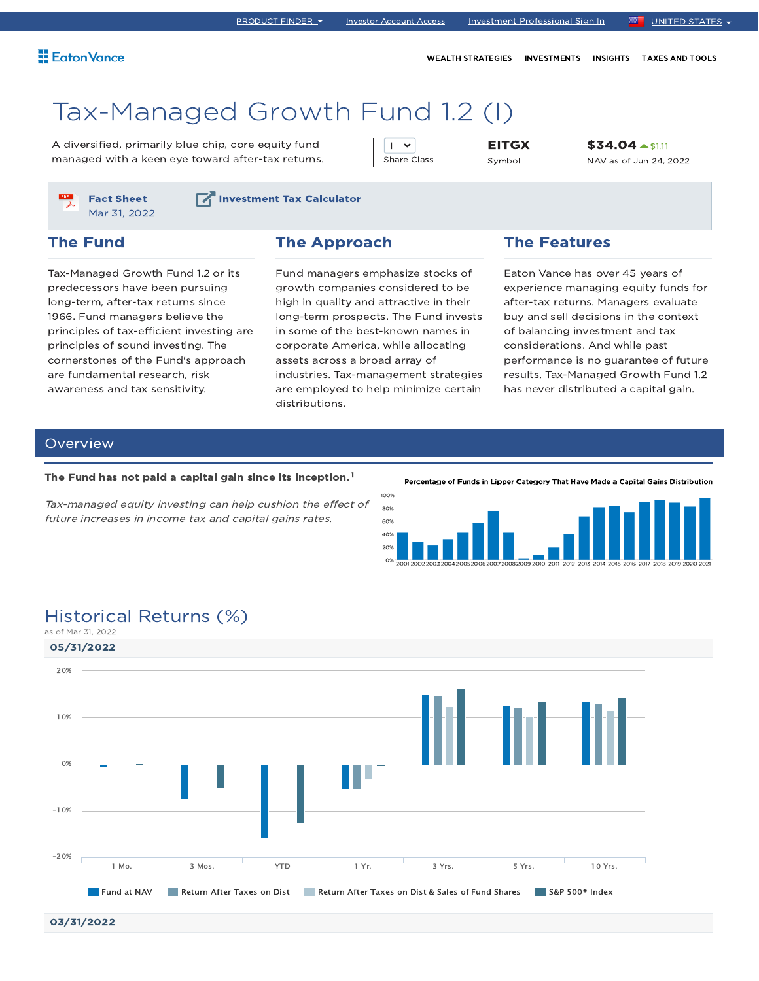WEALTH STRATEGIES INVESTMENTS INSIGHTS TAXES AND TOOLS

# Tax-Managed Growth Fund 1.2 (I)

A diversified, primarily blue chip, core equity fund managed with a keen eye toward after-tax returns.

 $\overline{1}$   $\overline{1}$ Share Class EITGX Symbol

\$34.04  $\blacktriangle$ \$1.11 NAV as of Jun 24, 2022



**Investment Tax Calculator** 

## The Fund

Tax-Managed Growth Fund 1.2 or its predecessors have been pursuing long-term, after-tax returns since 1966. Fund managers believe the principles of tax-efficient investing are principles of sound investing. The cornerstones of the Fund's approach are fundamental research, risk awareness and tax sensitivity.

### The Approach

Fund managers emphasize stocks of growth companies considered to be high in quality and attractive in their long-term prospects. The Fund invests in some of the best-known names in corporate America, while allocating assets across a broad array of industries. Tax-management strategies are employed to help minimize certain distributions.

## The Features

Eaton Vance has over 45 years of experience managing equity funds for after-tax returns. Managers evaluate buy and sell decisions in the context of balancing investment and tax considerations. And while past performance is no guarantee of future results, Tax-Managed Growth Fund 1.2 has never distributed a capital gain.

## Overview

#### The Fund has not paid a capital gain since its inception.<sup>1</sup>

Tax-managed equity investing can help cushion the effect of future increases in income tax and capital gains rates.

Percentage of Funds in Lipper Category That Have Made a Capital Gains Distribution



## Historical Returns (%)



<sup>03/31/2022</sup>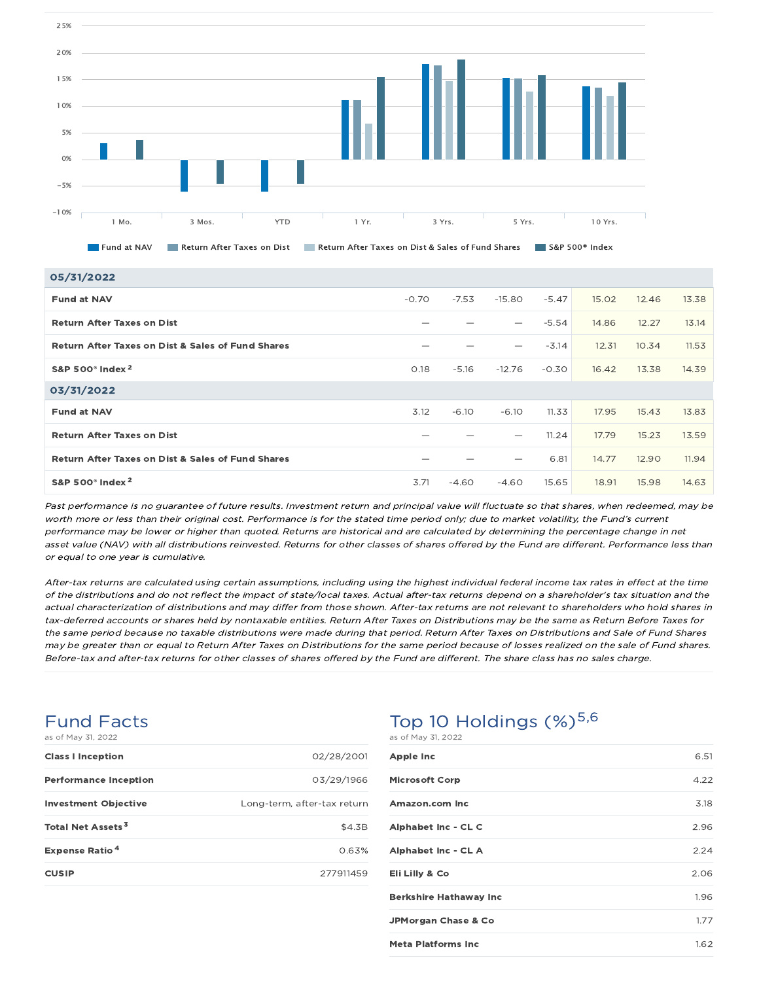

| 05/31/2022                                                   |         |         |                   |         |       |       |       |
|--------------------------------------------------------------|---------|---------|-------------------|---------|-------|-------|-------|
| <b>Fund at NAV</b>                                           | $-0.70$ | $-7.53$ | $-15.80$          | $-5.47$ | 15.02 | 12.46 | 13.38 |
| <b>Return After Taxes on Dist</b>                            |         |         |                   | $-5.54$ | 14.86 | 12.27 | 13.14 |
| <b>Return After Taxes on Dist &amp; Sales of Fund Shares</b> |         |         |                   | $-3.14$ | 12.31 | 10.34 | 11.53 |
| S&P 500° Index <sup>2</sup>                                  | 0.18    | $-5.16$ | $-12.76$          | $-0.30$ | 16.42 | 13.38 | 14.39 |
| 03/31/2022                                                   |         |         |                   |         |       |       |       |
| <b>Fund at NAV</b>                                           | 3.12    | $-6.10$ | $-6.10$           | 11.33   | 17.95 | 15.43 | 13.83 |
| <b>Return After Taxes on Dist</b>                            |         |         | $\hspace{0.05cm}$ | 11.24   | 17.79 | 15.23 | 13.59 |
| <b>Return After Taxes on Dist &amp; Sales of Fund Shares</b> |         |         |                   | 6.81    | 14.77 | 12.90 | 11.94 |
| S&P 500 $^{\circ}$ Index $^{2}$                              | 3.71    | $-4.60$ | $-4.60$           | 15.65   | 18.91 | 15.98 | 14.63 |

Past performance is no guarantee of future results. Investment return and principal value will fluctuate so that shares, when redeemed, may be worth more or less than their original cost. Performance is for the stated time period only; due to market volatility, the Fund's current performance may be lower or higher than quoted. Returns are historical and are calculated by determining the percentage change in net asset value (NAV) with all distributions reinvested. Returns for other classes of shares offered by the Fund are different. Performance less than or equal to one year is cumulative.

After-tax returns are calculated using certain assumptions, including using the highest individual federal income tax rates in effect at the time of the distributions and do not reflect the impact of state/local taxes. Actual after-tax returns depend on <sup>a</sup> shareholder's tax situation and the actual characterization of distributions and may differ from those shown. After-tax returns are not relevant to shareholders who hold shares in tax-deferred accounts or shares held by nontaxable entities. Return After Taxes on Distributions may be the same as Return Before Taxes for the same period because no taxable distributions were made during that period. Return After Taxes on Distributions and Sale of Fund Shares may be greater than or equal to Return After Taxes on Distributions for the same period because of losses realized on the sale of Fund shares. Before-tax and after-tax returns for other classes of shares offered by the Fund are different. The share class has no sales charge.

## Fund Facts as of May 31, 2022

| <b>Class I Inception</b>         | 02/28/2001                  |
|----------------------------------|-----------------------------|
| <b>Performance Inception</b>     | 03/29/1966                  |
| <b>Investment Objective</b>      | Long-term, after-tax return |
| Total Net Assets <sup>3</sup>    | \$4.3B                      |
| <b>Expense Ratio<sup>4</sup></b> | 0.63%                       |
| <b>CUSIP</b>                     | 277911459                   |

## Top 10 Holdings  $(\%)^{5,6}$ as of May 31, 2022

| <b>Apple Inc</b>               | 6.51 |
|--------------------------------|------|
| <b>Microsoft Corp</b>          | 4.22 |
| Amazon.com Inc.                | 3.18 |
| Alphabet Inc - CL C            | 2.96 |
| Alphabet Inc - CL A            | 2.24 |
| Eli Lilly & Co                 | 2.06 |
| <b>Berkshire Hathaway Inc</b>  | 1.96 |
| <b>JPMorgan Chase &amp; Co</b> | 1.77 |
| <b>Meta Platforms Inc.</b>     | 1.62 |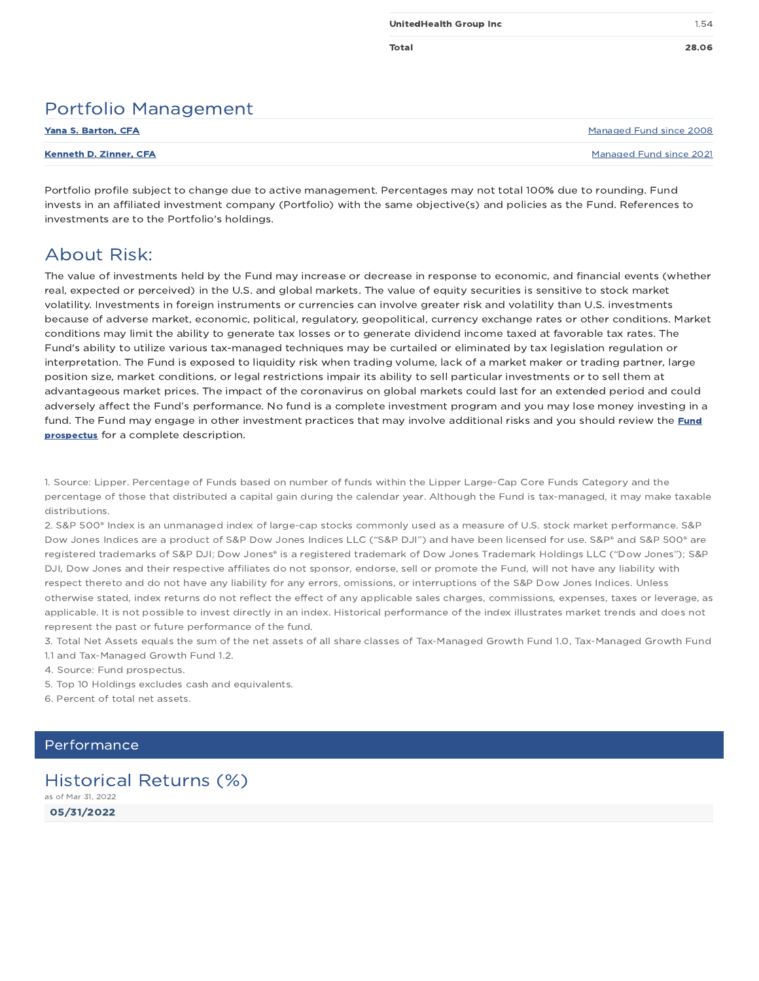## Portfolio Management

| <b>Yana S. Barton, CFA</b> | Managed Fund since 2008 |
|----------------------------|-------------------------|
| Kenneth D. Zinner, CFA     | Managed Fund since 2021 |

Portfolio profile subject to change due to active management. Percentages may not total 100% due to rounding. Fund invests in an affiliated investment company (Portfolio) with the same objective(s) and policies as the Fund. References to investments are to the Portfolio's holdings.

## About Risk:

The value of investments held by the Fund may increase or decrease in response to economic, and financial events (whether real, expected or perceived) in the U.S. and global markets. The value of equity securities is sensitive to stock market volatility. Investments in foreign instruments or currencies can involve greater risk and volatility than U.S. investments because of adverse market, economic, political, regulatory, geopolitical, currency exchange rates or other conditions. Market conditions may limit the ability to generate tax losses or to generate dividend income taxed at favorable tax rates. The Fund's ability to utilize various tax-managed techniques may be curtailed or eliminated by tax legislation regulation or interpretation. The Fund is exposed to liquidity risk when trading volume, lack of a market maker or trading partner, large position size, market conditions, or legal restrictions impair its ability to sell particular investments or to sell them at advantageous market prices. The impact of the coronavirus on global markets could last for an extended period and could adversely affect the Fund's performance. No fund is a complete investment program and you may lose money investing in a fund. The Fund may engage in other investment practices that may involve additional risks and you should review the Fund prospectus for a complete description.

1. Source: Lipper. Percentage of Funds based on number of funds within the Lipper Large-Cap Core Funds Category and the percentage of those that distributed a capital gain during the calendar year. Although the Fund is tax-managed, it may make taxable distributions.

2. S&P 500® Index is an unmanaged index of large-cap stocks commonly used as a measure of U.S. stock market performance. S&P Dow Jones Indices are a product of S&P Dow Jones Indices LLC ("S&P DJI") and have been licensed for use. S&P® and S&P 500® are registered trademarks of S&P DJI; Dow Jones® is a registered trademark of Dow Jones Trademark Holdings LLC ("Dow Jones"); S&P DJI, Dow Jones and their respective affiliates do not sponsor, endorse, sell or promote the Fund, will not have any liability with respect thereto and do not have any liability for any errors, omissions, or interruptions of the S&P Dow Jones Indices. Unless otherwise stated, index returns do not reflect the effect of any applicable sales charges, commissions, expenses, taxes or leverage, as applicable. It is not possible to invest directly in an index. Historical performance of the index illustrates market trends and does not represent the past or future performance of the fund.

3. Total Net Assets equals the sum of the net assets of all share classes of Tax-Managed Growth Fund 1.0, Tax-Managed Growth Fund 1.1 and Tax-Managed Growth Fund 1.2.

- 4. Source: Fund prospectus.
- 5. Top 10 Holdings excludes cash and equivalents.
- 6. Percent of total net assets.

#### **Performance**

## Historical Returns (%)

05/31/2022 as of Mar 31, 2022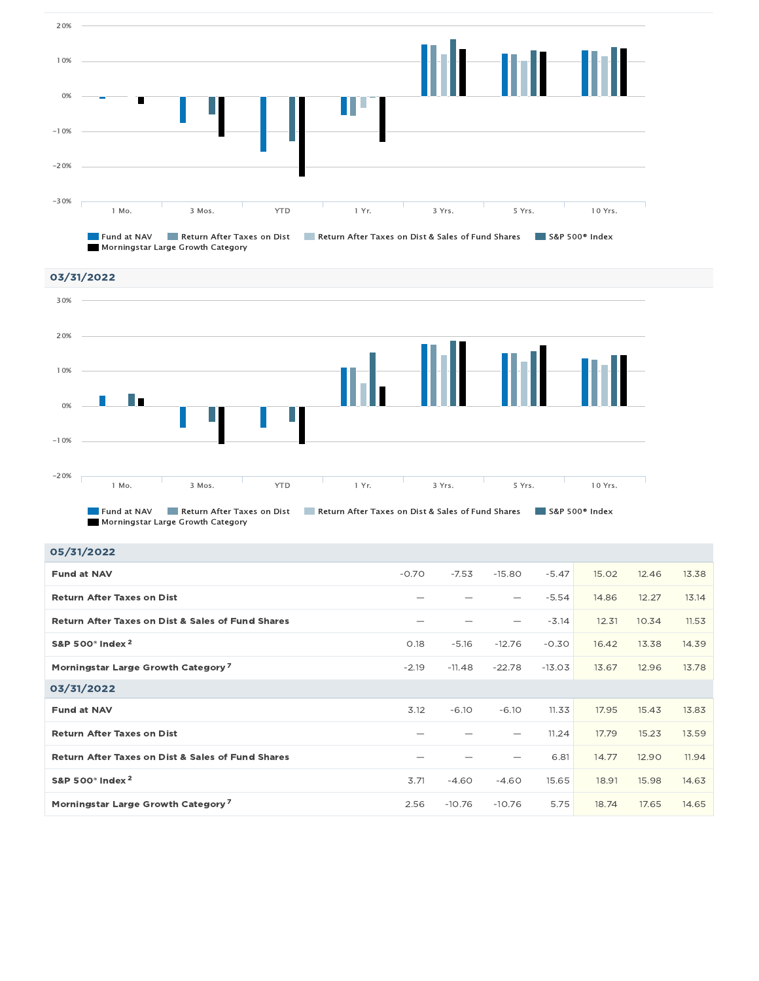



Fund at NAV Return After Taxes on Dist Return After Taxes on Dist & Sales of Fund Shares S&P 500<sup>®</sup> Index Morningstar Large Growth Category

| 05/31/2022                                                   |         |          |          |          |       |       |       |
|--------------------------------------------------------------|---------|----------|----------|----------|-------|-------|-------|
| <b>Fund at NAV</b>                                           | $-0.70$ | $-7.53$  | $-15.80$ | $-5.47$  | 15.02 | 12.46 | 13.38 |
| <b>Return After Taxes on Dist</b>                            |         |          |          | $-5.54$  | 14.86 | 12.27 | 13.14 |
| <b>Return After Taxes on Dist &amp; Sales of Fund Shares</b> |         |          |          | $-3.14$  | 12.31 | 10.34 | 11.53 |
| S&P 500 <sup>®</sup> Index <sup>2</sup>                      | 0.18    | $-5.16$  | $-12.76$ | $-0.30$  | 16.42 | 13.38 | 14.39 |
| Morningstar Large Growth Category <sup>7</sup>               | $-2.19$ | $-11.48$ | $-22.78$ | $-13.03$ | 13.67 | 12.96 | 13.78 |
| 03/31/2022                                                   |         |          |          |          |       |       |       |
| <b>Fund at NAV</b>                                           | 3.12    | $-6.10$  | $-6.10$  | 11.33    | 17.95 | 15.43 | 13.83 |
| <b>Return After Taxes on Dist</b>                            |         |          |          | 11.24    | 17.79 | 15.23 | 13.59 |
| <b>Return After Taxes on Dist &amp; Sales of Fund Shares</b> |         |          |          | 6.81     | 14.77 | 12.90 | 11.94 |
| S&P 500 <sup>®</sup> Index <sup>2</sup>                      | 3.71    | $-4.60$  | $-4.60$  | 15.65    | 18.91 | 15.98 | 14.63 |
| Morningstar Large Growth Category <sup>7</sup>               | 2.56    | $-10.76$ | $-10.76$ | 5.75     | 18.74 | 17.65 | 14.65 |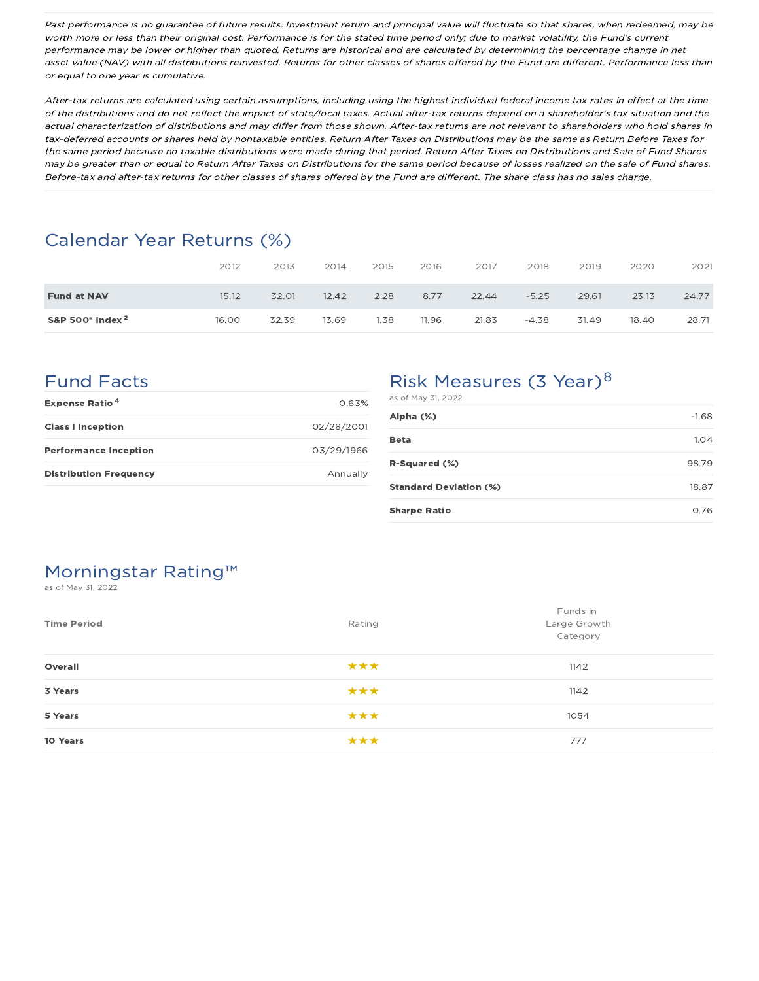Past performance is no guarantee of future results. Investment return and principal value will fluctuate so that shares, when redeemed, may be worth more or less than their original cost. Performance is for the stated time period only; due to market volatility, the Fund's current performance may be lower or higher than quoted. Returns are historical and are calculated by determining the percentage change in net asset value (NAV) with all distributions reinvested. Returns for other classes of shares offered by the Fund are different. Performance less than or equal to one year is cumulative.

After-tax returns are calculated using certain assumptions, including using the highest individual federal income tax rates in effect at the time of the distributions and do not reflect the impact of state/local taxes. Actual after-tax returns depend on <sup>a</sup> shareholder's tax situation and the actual characterization of distributions and may differ from those shown. After-tax returns are not relevant to shareholders who hold shares in tax-deferred accounts or shares held by nontaxable entities. Return After Taxes on Distributions may be the same as Return Before Taxes for the same period because no taxable distributions were made during that period. Return After Taxes on Distributions and Sale of Fund Shares may be greater than or equal to Return After Taxes on Distributions for the same period because of losses realized on the sale of Fund shares. Before-tax and after-tax returns for other classes of shares offered by the Fund are different. The share class has no sales charge.

# Calendar Year Returns (%)

|                                 | 2012  | 2013  | 2014  | 2015 | 2016  | 2017  | 2018    | 2019  | 2020  | 2021  |
|---------------------------------|-------|-------|-------|------|-------|-------|---------|-------|-------|-------|
| <b>Fund at NAV</b>              | 15.12 | 32.01 | 12.42 | 2.28 | 8.77  | 22.44 | $-5.25$ | 29.61 | 23.13 | 24.77 |
| S&P 500 $^{\circ}$ Index $^{2}$ | 16.00 | 32.39 | 13.69 | 1.38 | 11.96 | 21.83 | $-4.38$ | 31.49 | 18.40 | 28.71 |

# Fund Facts

| <b>Expense Ratio<sup>4</sup></b> | 0.63%      |
|----------------------------------|------------|
| <b>Class I Inception</b>         | 02/28/2001 |
| <b>Performance Inception</b>     | 03/29/1966 |
| <b>Distribution Frequency</b>    | Annually   |

# Risk Measures (3 Year)<sup>8</sup>

| as of May 31, 2022            |         |
|-------------------------------|---------|
| Alpha (%)                     | $-1.68$ |
| Beta                          | 1.04    |
| <b>R-Squared (%)</b>          | 98.79   |
| <b>Standard Deviation (%)</b> | 18.87   |
| <b>Sharpe Ratio</b>           | 0.76    |

# Morningstar Rating™

as of May 31, 2022

| <b>Time Period</b> | Rating | Funds in<br>Large Growth<br>Category |
|--------------------|--------|--------------------------------------|
| Overall            | ***    | 1142                                 |
| 3 Years            | ***    | 1142                                 |
| 5 Years            | ***    | 1054                                 |
| 10 Years           | ***    | 777                                  |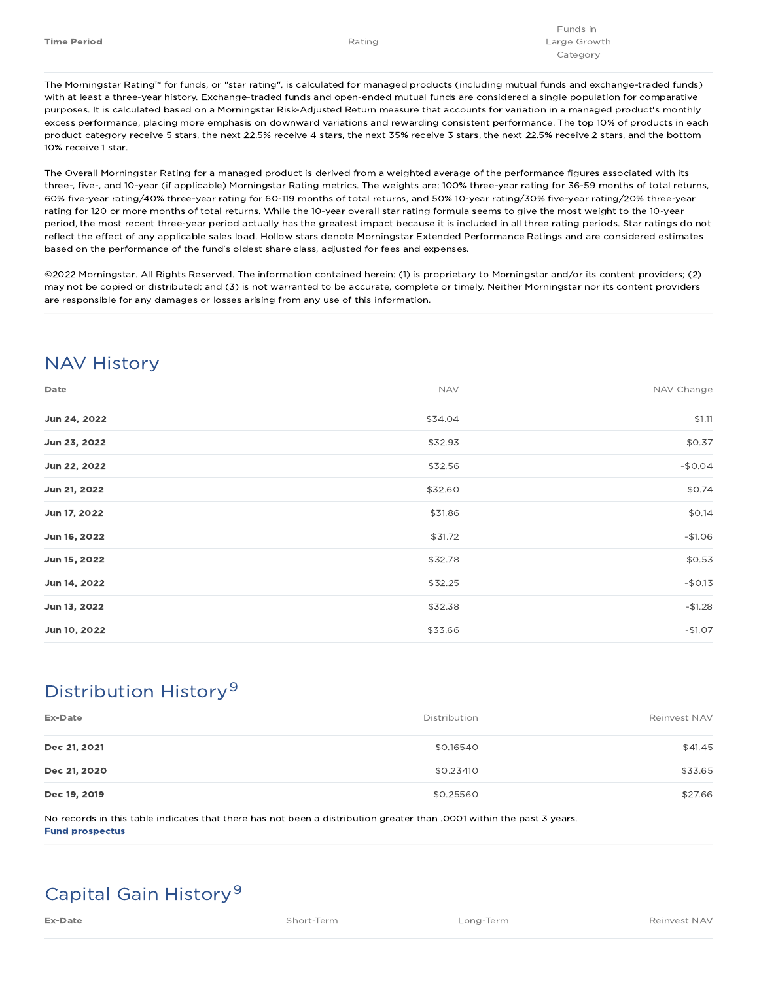The Morningstar Rating™ for funds, or "star rating", is calculated for managed products (including mutual funds and exchange-traded funds) with at least a three-year history. Exchange-traded funds and open-ended mutual funds are considered a single population for comparative purposes. It is calculated based on a Morningstar Risk-Adjusted Return measure that accounts for variation in a managed product's monthly excess performance, placing more emphasis on downward variations and rewarding consistent performance. The top 10% of products in each product category receive 5 stars, the next 22.5% receive 4 stars, the next 35% receive 3 stars, the next 22.5% receive 2 stars, and the bottom 10% receive 1 star.

The Overall Morningstar Rating for a managed product is derived from a weighted average of the performance figures associated with its three-, five-, and 10-year (if applicable) Morningstar Rating metrics. The weights are: 100% three-year rating for 36-59 months of total returns, 60% five-year rating/40% three-year rating for 60-119 months of total returns, and 50% 10-year rating/30% five-year rating/20% three-year rating for 120 or more months of total returns. While the 10-year overall star rating formula seems to give the most weight to the 10-year period, the most recent three-year period actually has the greatest impact because it is included in all three rating periods. Star ratings do not reflect the effect of any applicable sales load. Hollow stars denote Morningstar Extended Performance Ratings and are considered estimates based on the performance of the fund's oldest share class, adjusted for fees and expenses.

©2022 Morningstar. All Rights Reserved. The information contained herein: (1) is proprietary to Morningstar and/or its content providers; (2) may not be copied or distributed; and (3) is not warranted to be accurate, complete or timely. Neither Morningstar nor its content providers are responsible for any damages or losses arising from any use of this information.

# NAV History

| Date         | <b>NAV</b> | NAV Change |
|--------------|------------|------------|
| Jun 24, 2022 | \$34.04    | \$1.11     |
| Jun 23, 2022 | \$32.93    | \$0.37     |
| Jun 22, 2022 | \$32.56    | $-$0.04$   |
| Jun 21, 2022 | \$32.60    | \$0.74     |
| Jun 17, 2022 | \$31.86    | \$0.14     |
| Jun 16, 2022 | \$31.72    | $-$1.06$   |
| Jun 15, 2022 | \$32.78    | \$0.53     |
| Jun 14, 2022 | \$32.25    | $-$0.13$   |
| Jun 13, 2022 | \$32.38    | $-$1.28$   |
| Jun 10, 2022 | \$33.66    | $-$1.07$   |

# Distribution History 9

| Ex-Date      | Distribution | Reinvest NAV |
|--------------|--------------|--------------|
| Dec 21, 2021 | \$0.16540    | \$41.45      |
| Dec 21, 2020 | \$0.23410    | \$33.65      |
| Dec 19, 2019 | \$0.25560    | \$27.66      |

No records in this table indicates that there has not been a distribution greater than .0001 within the past 3 years. Fund prospectus

# Capital Gain History 9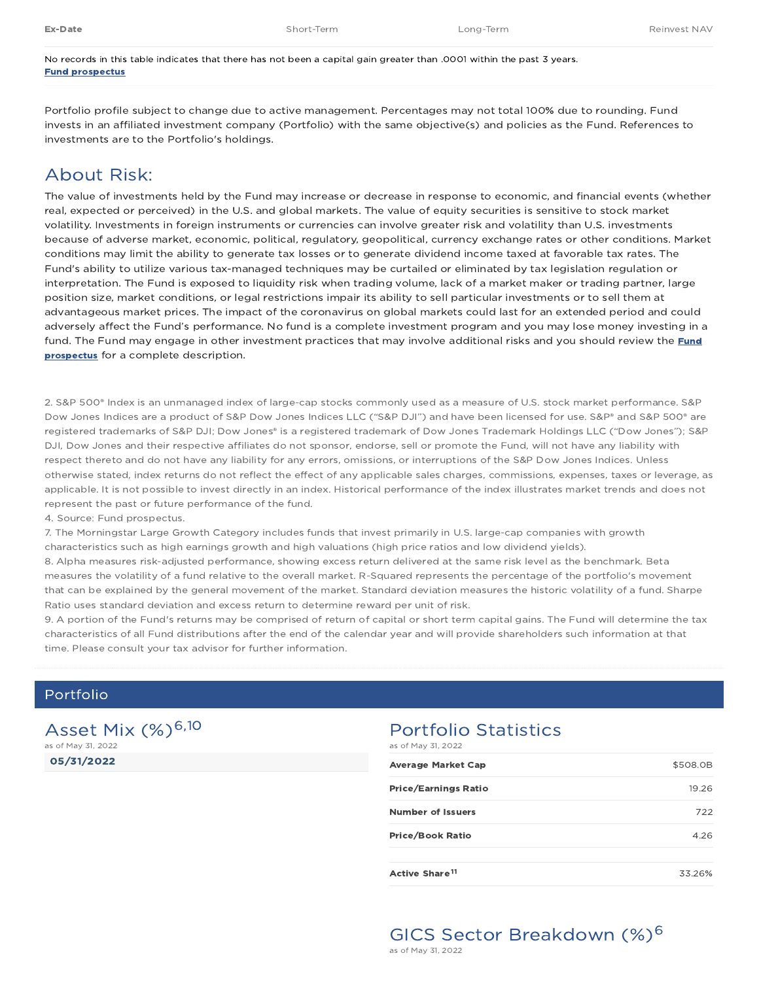No records in this table indicates that there has not been a capital gain greater than .0001 within the past 3 years. Fund prospectus

Portfolio profile subject to change due to active management. Percentages may not total 100% due to rounding. Fund invests in an affiliated investment company (Portfolio) with the same objective(s) and policies as the Fund. References to investments are to the Portfolio's holdings.

## About Risk:

The value of investments held by the Fund may increase or decrease in response to economic, and financial events (whether real, expected or perceived) in the U.S. and global markets. The value of equity securities is sensitive to stock market volatility. Investments in foreign instruments or currencies can involve greater risk and volatility than U.S. investments because of adverse market, economic, political, regulatory, geopolitical, currency exchange rates or other conditions. Market conditions may limit the ability to generate tax losses or to generate dividend income taxed at favorable tax rates. The Fund's ability to utilize various tax-managed techniques may be curtailed or eliminated by tax legislation regulation or interpretation. The Fund is exposed to liquidity risk when trading volume, lack of a market maker or trading partner, large position size, market conditions, or legal restrictions impair its ability to sell particular investments or to sell them at advantageous market prices. The impact of the coronavirus on global markets could last for an extended period and could adversely affect the Fund's performance. No fund is a complete investment program and you may lose money investing in a fund. The Fund may engage in other investment practices that may involve additional risks and you should review the Fund prospectus for a complete description.

2. S&P 500® Index is an unmanaged index of large-cap stocks commonly used as a measure of U.S. stock market performance. S&P Dow Jones Indices are a product of S&P Dow Jones Indices LLC ("S&P DJI") and have been licensed for use. S&P® and S&P 500® are registered trademarks of S&P DJI; Dow Jones® is a registered trademark of Dow Jones Trademark Holdings LLC ("Dow Jones"); S&P DJI, Dow Jones and their respective affiliates do not sponsor, endorse, sell or promote the Fund, will not have any liability with respect thereto and do not have any liability for any errors, omissions, or interruptions of the S&P Dow Jones Indices. Unless otherwise stated, index returns do not reflect the effect of any applicable sales charges, commissions, expenses, taxes or leverage, as applicable. It is not possible to invest directly in an index. Historical performance of the index illustrates market trends and does not represent the past or future performance of the fund.

4. Source: Fund prospectus.

7. The Morningstar Large Growth Category includes funds that invest primarily in U.S. large-cap companies with growth characteristics such as high earnings growth and high valuations (high price ratios and low dividend yields).

8. Alpha measures risk-adjusted performance, showing excess return delivered at the same risk level as the benchmark. Beta measures the volatility of a fund relative to the overall market. R-Squared represents the percentage of the portfolio's movement that can be explained by the general movement of the market. Standard deviation measures the historic volatility of a fund. Sharpe Ratio uses standard deviation and excess return to determine reward per unit of risk.

9. A portion of the Fund's returns may be comprised of return of capital or short term capital gains. The Fund will determine the tax characteristics of all Fund distributions after the end of the calendar year and will provide shareholders such information at that time. Please consult your tax advisor for further information.

## Portfolio

05/31/2022 Asset Mix (%)<sup>6,10</sup> as of May 31, 2022

#### Portfolio Statistics as of May 31, 2022

| as of finally sights of the |          |
|-----------------------------|----------|
| <b>Average Market Cap</b>   | \$508.0B |
| Price/Earnings Ratio        | 19.26    |
| <b>Number of Issuers</b>    | 722      |
| Price/Book Ratio            | 4.26     |
| Active Share <sup>11</sup>  | 33.26%   |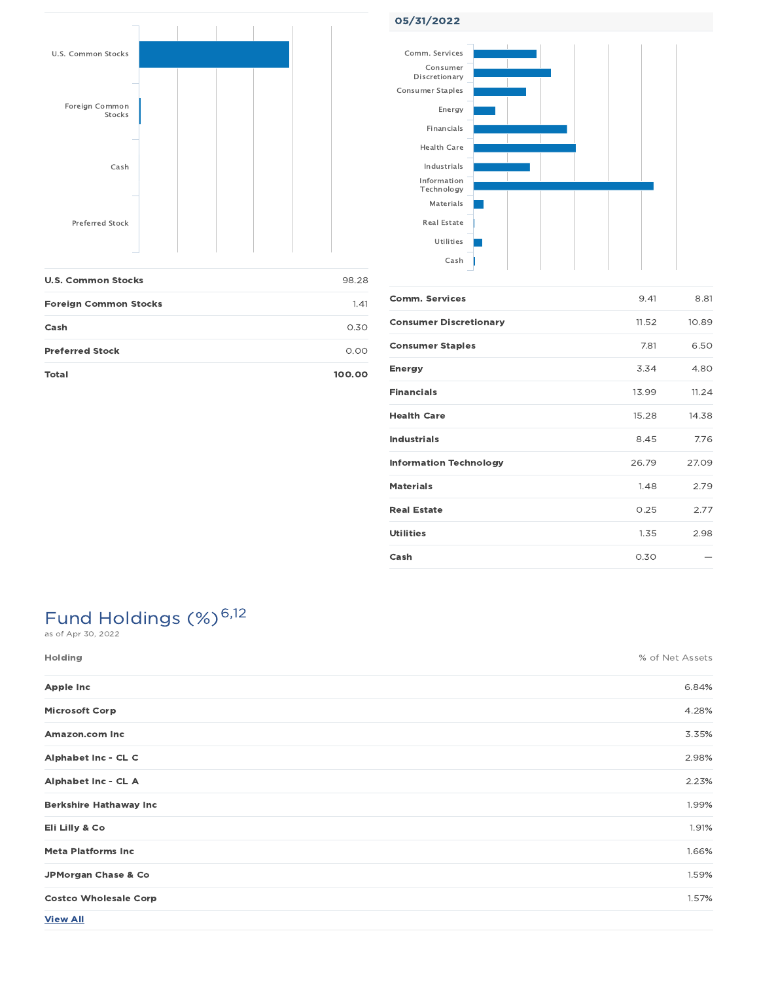

Foreign Common Stocks 1.41

Cash 0.30 Preferred Stock and the contract of the contract of the contract of the contract of the contract of the contract of the contract of the contract of the contract of the contract of the contract of the contract of the contra Total 100.00



| <b>Comm. Services</b>         | 9.41  | 8.81  |
|-------------------------------|-------|-------|
| <b>Consumer Discretionary</b> | 11.52 | 10.89 |
| <b>Consumer Staples</b>       | 7.81  | 6.50  |
| <b>Energy</b>                 | 3.34  | 4.80  |
| <b>Financials</b>             | 13.99 | 11.24 |
| <b>Health Care</b>            | 15.28 | 14.38 |
| <b>Industrials</b>            | 8.45  | 7.76  |
| <b>Information Technology</b> | 26.79 | 27.09 |
| <b>Materials</b>              | 1.48  | 2.79  |
| <b>Real Estate</b>            | 0.25  | 2.77  |
| <b>Utilities</b>              | 1.35  | 2.98  |
| Cash                          | 0.30  |       |

# Fund Holdings (%)<sup>6,12</sup>

| Holding                       | % of Net Assets |
|-------------------------------|-----------------|
| <b>Apple Inc</b>              | 6.84%           |
| <b>Microsoft Corp</b>         | 4.28%           |
| Amazon.com Inc                | 3.35%           |
| Alphabet Inc - CL C           | 2.98%           |
| Alphabet Inc - CL A           | 2.23%           |
| <b>Berkshire Hathaway Inc</b> | 1.99%           |
| Eli Lilly & Co                | 1.91%           |
| <b>Meta Platforms Inc</b>     | 1.66%           |
| JPMorgan Chase & Co           | 1.59%           |
| <b>Costco Wholesale Corp</b>  | 1.57%           |
| <b>View All</b>               |                 |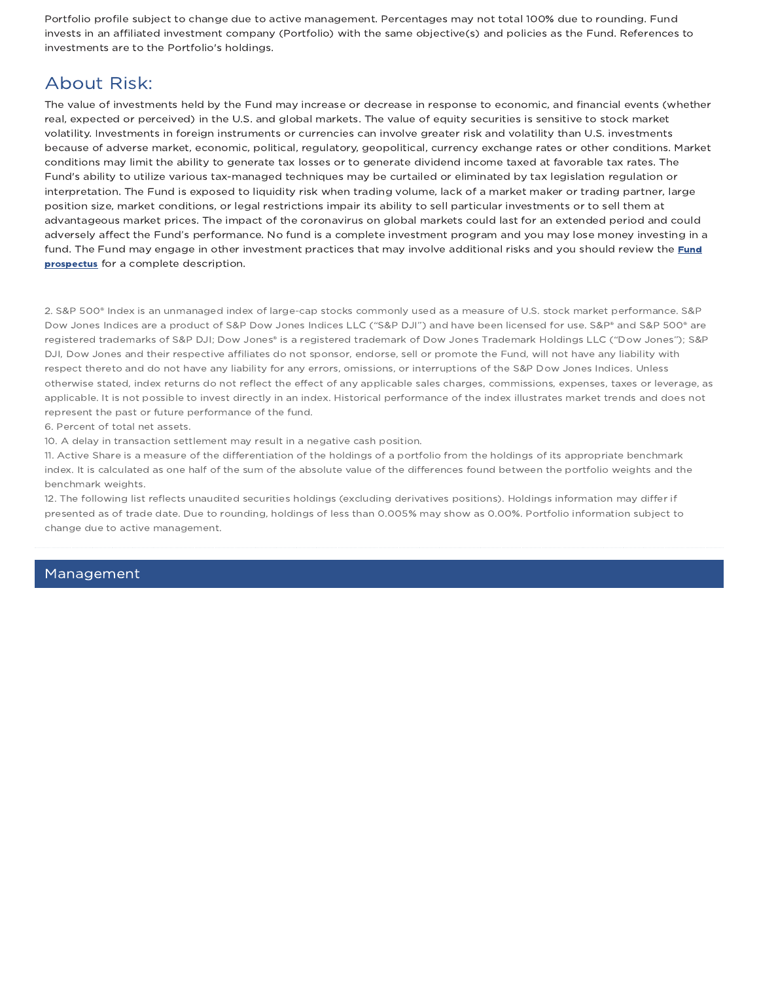Portfolio profile subject to change due to active management. Percentages may not total 100% due to rounding. Fund invests in an affiliated investment company (Portfolio) with the same objective(s) and policies as the Fund. References to investments are to the Portfolio's holdings.

## About Risk:

The value of investments held by the Fund may increase or decrease in response to economic, and financial events (whether real, expected or perceived) in the U.S. and global markets. The value of equity securities is sensitive to stock market volatility. Investments in foreign instruments or currencies can involve greater risk and volatility than U.S. investments because of adverse market, economic, political, regulatory, geopolitical, currency exchange rates or other conditions. Market conditions may limit the ability to generate tax losses or to generate dividend income taxed at favorable tax rates. The Fund's ability to utilize various tax-managed techniques may be curtailed or eliminated by tax legislation regulation or interpretation. The Fund is exposed to liquidity risk when trading volume, lack of a market maker or trading partner, large position size, market conditions, or legal restrictions impair its ability to sell particular investments or to sell them at advantageous market prices. The impact of the coronavirus on global markets could last for an extended period and could adversely affect the Fund's performance. No fund is a complete investment program and you may lose money investing in a fund. The Fund may engage in other investment practices that may involve additional risks and you should review the Fund prospectus for a complete description.

2. S&P 500® Index is an unmanaged index of large-cap stocks commonly used as a measure of U.S. stock market performance. S&P Dow Jones Indices are a product of S&P Dow Jones Indices LLC ("S&P DJI") and have been licensed for use. S&P® and S&P 500® are registered trademarks of S&P DJI; Dow Jones® is a registered trademark of Dow Jones Trademark Holdings LLC ("Dow Jones"); S&P DJI, Dow Jones and their respective affiliates do not sponsor, endorse, sell or promote the Fund, will not have any liability with respect thereto and do not have any liability for any errors, omissions, or interruptions of the S&P Dow Jones Indices. Unless otherwise stated, index returns do not reflect the effect of any applicable sales charges, commissions, expenses, taxes or leverage, as applicable. It is not possible to invest directly in an index. Historical performance of the index illustrates market trends and does not represent the past or future performance of the fund.

6. Percent of total net assets.

10. A delay in transaction settlement may result in a negative cash position.

11. Active Share is a measure of the differentiation of the holdings of a portfolio from the holdings of its appropriate benchmark index. It is calculated as one half of the sum of the absolute value of the differences found between the portfolio weights and the benchmark weights.

12. The following list reflects unaudited securities holdings (excluding derivatives positions). Holdings information may differ if presented as of trade date. Due to rounding, holdings of less than 0.005% may show as 0.00%. Portfolio information subject to change due to active management.

### Management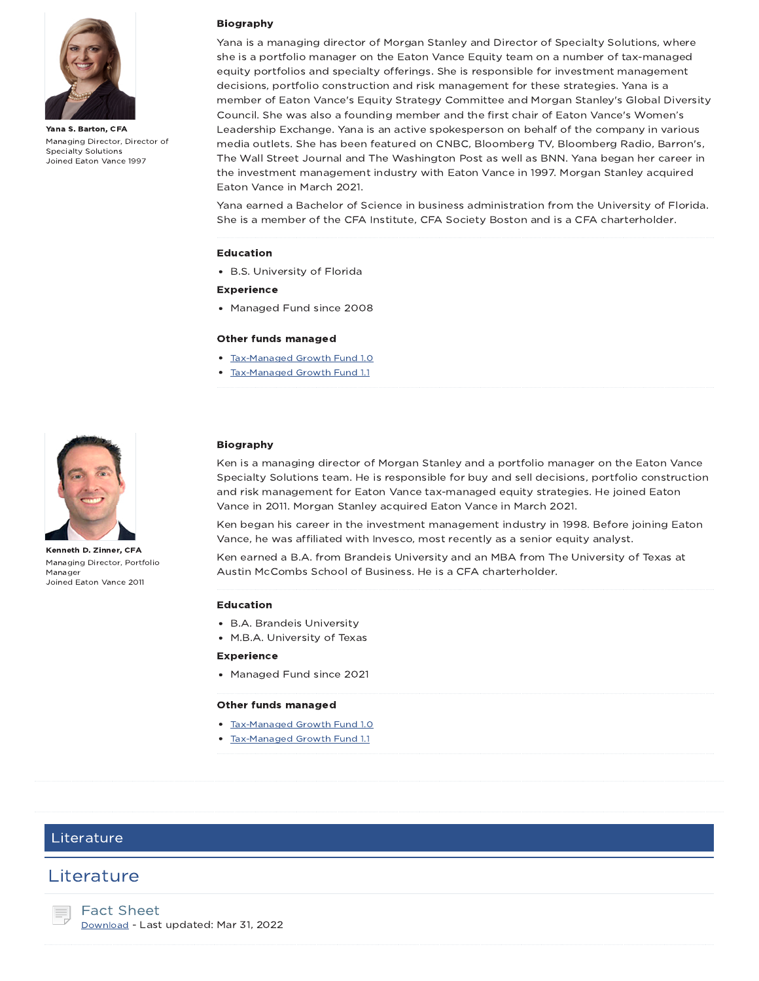

Yana S. Barton, CFA Managing Director, Director of Specialty Solutions Joined Eaton Vance 1997

#### Biography

Yana is a managing director of Morgan Stanley and Director of Specialty Solutions, where she is a portfolio manager on the Eaton Vance Equity team on a number of tax-managed equity portfolios and specialty offerings. She is responsible for investment management decisions, portfolio construction and risk management for these strategies. Yana is a member of Eaton Vance's Equity Strategy Committee and Morgan Stanley's Global Diversity Council. She was also a founding member and the first chair of Eaton Vance's Women's Leadership Exchange. Yana is an active spokesperson on behalf of the company in various media outlets. She has been featured on CNBC, Bloomberg TV, Bloomberg Radio, Barron's, The Wall Street Journal and The Washington Post as well as BNN. Yana began her career in the investment management industry with Eaton Vance in 1997. Morgan Stanley acquired Eaton Vance in March 2021.

Yana earned a Bachelor of Science in business administration from the University of Florida. She is a member of the CFA Institute, CFA Society Boston and is a CFA charterholder.

#### Education

B.S. University of Florida

#### Experience

• Managed Fund since 2008

#### Other funds managed

- Tax-Managed Growth Fund 1.0
- Tax-Managed Growth Fund 1.1



Kenneth D. Zinner, CFA Managing Director, Portfolio Manager Joined Eaton Vance 2011

#### Biography

Ken is a managing director of Morgan Stanley and a portfolio manager on the Eaton Vance Specialty Solutions team. He is responsible for buy and sell decisions, portfolio construction and risk management for Eaton Vance tax-managed equity strategies. He joined Eaton Vance in 2011. Morgan Stanley acquired Eaton Vance in March 2021.

Ken began his career in the investment management industry in 1998. Before joining Eaton Vance, he was affiliated with Invesco, most recently as a senior equity analyst.

Ken earned a B.A. from Brandeis University and an MBA from The University of Texas at Austin McCombs School of Business. He is a CFA charterholder.

#### Education

- B.A. Brandeis University
- M.B.A. University of Texas

#### Experience

Managed Fund since 2021

#### Other funds managed

- Tax-Managed Growth Fund 1.0
- Tax-Managed Growth Fund 1.1

### Literature

## **Literature**

Fact Sheet Download - Last updated: Mar 31, 2022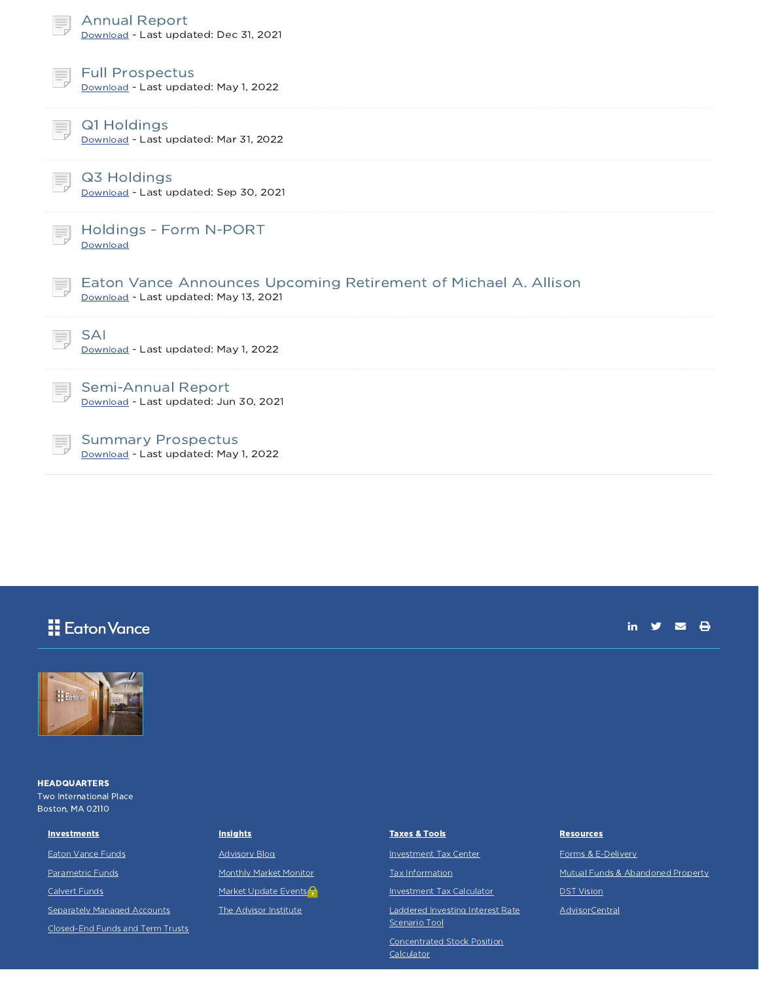| <b>Annual Report</b><br>Download - Last updated: Dec 31, 2021                                                  |
|----------------------------------------------------------------------------------------------------------------|
| <b>Full Prospectus</b><br>Ξ,<br>Download - Last updated: May 1, 2022                                           |
| Q1 Holdings<br>Download - Last updated: Mar 31, 2022                                                           |
| Q3 Holdings<br>Download - Last updated: Sep 30, 2021                                                           |
| Holdings - Form N-PORT<br>Download                                                                             |
| Eaton Vance Announces Upcoming Retirement of Michael A. Allison<br>Ħ,<br>Download - Last updated: May 13, 2021 |
| <b>SAI</b><br>Download - Last updated: May 1, 2022                                                             |
| <b>Semi-Annual Report</b><br>Download - Last updated: Jun 30, 2021                                             |
| <b>Summary Prospectus</b><br>≡                                                                                 |

Download - Last updated: May 1, 2022

## **H** Eaton Vance





**HEADQUARTERS** Two International Place Boston, MA 02110

**Investments** 

Eaton Vance Funds

Parametric Funds

Calvert Funds

Separately Managed Accounts

Closed-End Funds and Term Trusts

#### **Insights**

Advisory Blog Monthly Market Monitor Market Update Events<sup>2</sup> The Advisor Institute

#### Taxes & Tools

Investment Tax Center

Tax Information

Investment Tax Calculator

Laddered Investing Interest Rate Scenario Tool

Concentrated Stock Position **Calculator** 

Tax-Equivalent Yield Calculator

#### **Resources**

Forms & E-Delivery Mutual Funds & Abandoned Property DST Vision AdvisorCentral